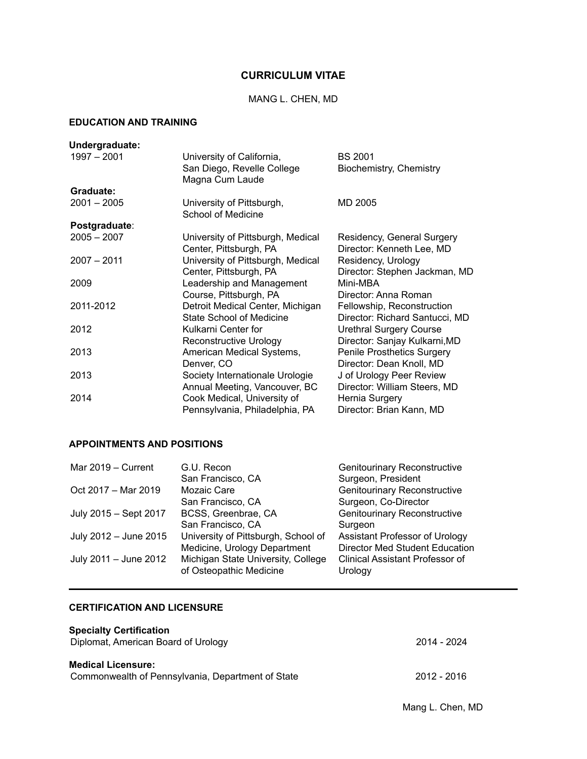# **CURRICULUM VITAE**

### MANG L. CHEN, MD

# **EDUCATION AND TRAINING**

| Undergraduate: |                                                         |                                           |
|----------------|---------------------------------------------------------|-------------------------------------------|
| $1997 - 2001$  | University of California,<br>San Diego, Revelle College | <b>BS 2001</b><br>Biochemistry, Chemistry |
|                | Magna Cum Laude                                         |                                           |
| Graduate:      |                                                         |                                           |
| $2001 - 2005$  | University of Pittsburgh,                               | MD 2005                                   |
|                | <b>School of Medicine</b>                               |                                           |
| Postgraduate:  |                                                         |                                           |
| $2005 - 2007$  | University of Pittsburgh, Medical                       | Residency, General Surgery                |
|                | Center, Pittsburgh, PA                                  | Director: Kenneth Lee, MD                 |
| $2007 - 2011$  | University of Pittsburgh, Medical                       | Residency, Urology                        |
|                | Center, Pittsburgh, PA                                  | Director: Stephen Jackman, MD             |
| 2009           | Leadership and Management                               | Mini-MBA                                  |
|                | Course, Pittsburgh, PA                                  | Director: Anna Roman                      |
| 2011-2012      | Detroit Medical Center, Michigan                        | Fellowship, Reconstruction                |
|                | State School of Medicine                                | Director: Richard Santucci, MD            |
| 2012           | Kulkarni Center for                                     | <b>Urethral Surgery Course</b>            |
|                | Reconstructive Urology                                  | Director: Sanjay Kulkarni, MD             |
| 2013           | American Medical Systems,                               | <b>Penile Prosthetics Surgery</b>         |
|                | Denver, CO                                              | Director: Dean Knoll, MD                  |
| 2013           | Society Internationale Urologie                         | J of Urology Peer Review                  |
|                | Annual Meeting, Vancouver, BC                           | Director: William Steers, MD              |
| 2014           | Cook Medical, University of                             | Hernia Surgery                            |
|                | Pennsylvania, Philadelphia, PA                          | Director: Brian Kann, MD                  |

# **APPOINTMENTS AND POSITIONS**

| Mar 2019 - Current    | G.U. Recon                          | <b>Genitourinary Reconstructive</b>    |
|-----------------------|-------------------------------------|----------------------------------------|
|                       | San Francisco, CA                   | Surgeon, President                     |
| Oct 2017 - Mar 2019   | Mozaic Care                         | <b>Genitourinary Reconstructive</b>    |
|                       | San Francisco, CA                   | Surgeon, Co-Director                   |
| July 2015 - Sept 2017 | BCSS, Greenbrae, CA                 | <b>Genitourinary Reconstructive</b>    |
|                       | San Francisco, CA                   | Surgeon                                |
| July 2012 - June 2015 | University of Pittsburgh, School of | Assistant Professor of Urology         |
|                       | Medicine, Urology Department        | <b>Director Med Student Education</b>  |
| July 2011 - June 2012 | Michigan State University, College  | <b>Clinical Assistant Professor of</b> |
|                       | of Osteopathic Medicine             | Urology                                |

# **CERTIFICATION AND LICENSURE**

| <b>Specialty Certification</b><br>Diplomat, American Board of Urology   | 2014 - 2024 |
|-------------------------------------------------------------------------|-------------|
| Medical Licensure:<br>Commonwealth of Pennsylvania, Department of State | 2012 - 2016 |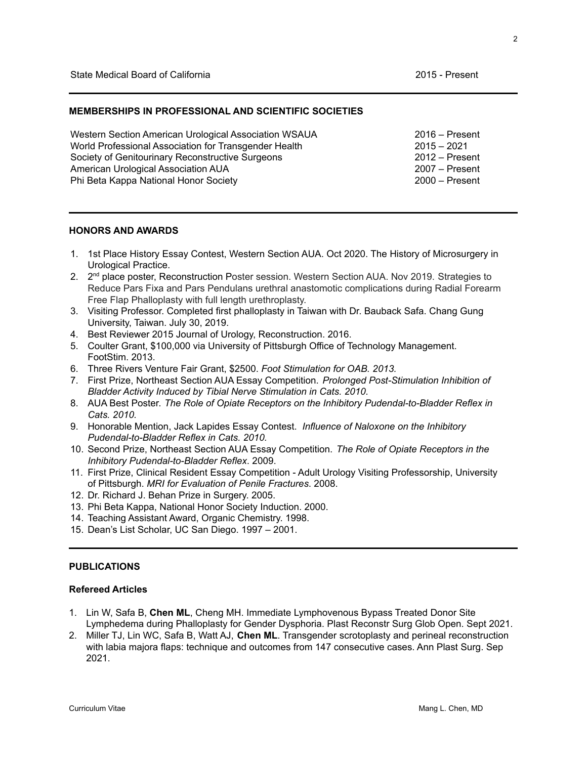#### **MEMBERSHIPS IN PROFESSIONAL AND SCIENTIFIC SOCIETIES**

Western Section American Urological Association WSAUA World Professional Association for Transgender Health Society of Genitourinary Reconstructive Surgeons American Urological Association AUA Phi Beta Kappa National Honor Society 2016 – Present 2015 – 2021 2012 – Present 2007 – Present 2000 – Present

#### **HONORS AND AWARDS**

- 1. 1st Place History Essay Contest, Western Section AUA. Oct 2020. The History of Microsurgery in Urological Practice.
- 2. 2<sup>nd</sup> place poster, Reconstruction Poster session. Western Section AUA. Nov 2019. Strategies to Reduce Pars Fixa and Pars Pendulans urethral anastomotic complications during Radial Forearm Free Flap Phalloplasty with full length urethroplasty.
- 3. Visiting Professor. Completed first phalloplasty in Taiwan with Dr. Bauback Safa. Chang Gung University, Taiwan. July 30, 2019.
- 4. Best Reviewer 2015 Journal of Urology, Reconstruction. 2016.
- 5. Coulter Grant, \$100,000 via University of Pittsburgh Office of Technology Management. FootStim. 2013.
- 6. Three Rivers Venture Fair Grant, \$2500. *Foot Stimulation for OAB. 2013.*
- 7. First Prize, Northeast Section AUA Essay Competition. *Prolonged Post-Stimulation Inhibition of Bladder Activity Induced by Tibial Nerve Stimulation in Cats. 2010.*
- 8. AUA Best Poster. *The Role of Opiate Receptors on the Inhibitory Pudendal-to-Bladder Reflex in Cats. 2010.*
- 9. Honorable Mention, Jack Lapides Essay Contest. *Influence of Naloxone on the Inhibitory Pudendal-to-Bladder Reflex in Cats. 2010.*
- 10. Second Prize, Northeast Section AUA Essay Competition. *The Role of Opiate Receptors in the Inhibitory Pudendal-to-Bladder Reflex*. 2009.
- 11. First Prize, Clinical Resident Essay Competition Adult Urology Visiting Professorship, University of Pittsburgh. *MRI for Evaluation of Penile Fractures*. 2008.
- 12. Dr. Richard J. Behan Prize in Surgery. 2005.
- 13. Phi Beta Kappa, National Honor Society Induction. 2000.
- 14. Teaching Assistant Award, Organic Chemistry. 1998.
- 15. Dean's List Scholar, UC San Diego. 1997 2001.

#### **PUBLICATIONS**

#### **Refereed Articles**

- 1. Lin W, Safa B, **Chen ML**, Cheng MH. Immediate Lymphovenous Bypass Treated Donor Site Lymphedema during Phalloplasty for Gender Dysphoria. Plast Reconstr Surg Glob Open. Sept 2021.
- 2. Miller TJ, Lin WC, Safa B, Watt AJ, **Chen ML**. Transgender scrotoplasty and perineal reconstruction with labia majora flaps: technique and outcomes from 147 consecutive cases. Ann Plast Surg. Sep 2021.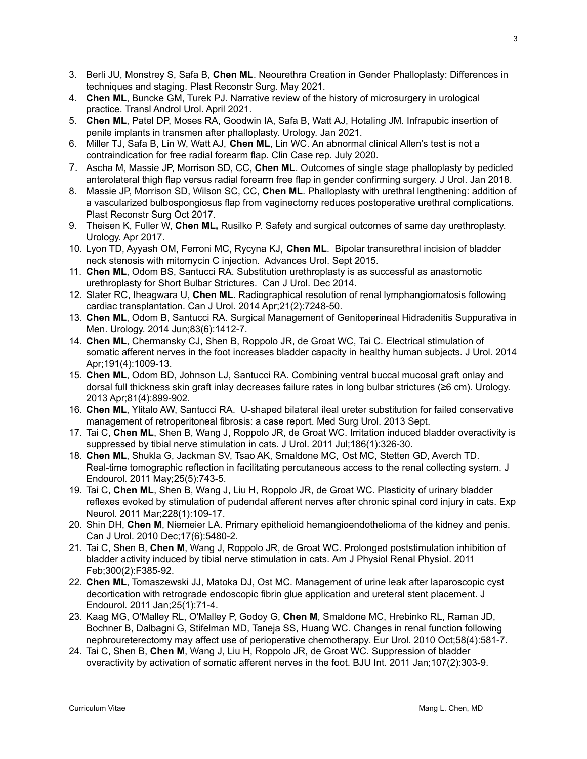- 3. Berli JU, Monstrey S, Safa B, **Chen ML**. Neourethra Creation in Gender Phalloplasty: Differences in techniques and staging. Plast Reconstr Surg. May 2021.
- 4. **Chen ML**, Buncke GM, Turek PJ. Narrative review of the history of microsurgery in urological practice. Transl Androl Urol. April 2021.
- 5. **Chen ML**, Patel DP, Moses RA, Goodwin IA, Safa B, Watt AJ, Hotaling JM. Infrapubic insertion of penile implants in transmen after phalloplasty. Urology. Jan 2021.
- 6. Miller TJ, Safa B, Lin W, Watt AJ, **Chen ML**, Lin WC. An abnormal clinical Allen's test is not a contraindication for free radial forearm flap. Clin Case rep. July 2020.
- 7. Ascha M, Massie JP, Morrison SD, CC, **Chen ML**. Outcomes of single stage phalloplasty by pedicled anterolateral thigh flap versus radial forearm free flap in gender confirming surgery. J Urol. Jan 2018.
- 8. Massie JP, Morrison SD, Wilson SC, CC, **Chen ML**. Phalloplasty with urethral lengthening: addition of a vascularized bulbospongiosus flap from vaginectomy reduces postoperative urethral complications. Plast Reconstr Surg Oct 2017.
- 9. Theisen K, Fuller W, **Chen ML,** Rusilko P. Safety and surgical outcomes of same day urethroplasty. Urology. Apr 2017.
- 10. Lyon TD, Ayyash OM, Ferroni MC, Rycyna KJ, **Chen ML**. Bipolar transurethral incision of bladder neck stenosis with mitomycin C injection. Advances Urol. Sept 2015.
- 11. **Chen ML**, Odom BS, Santucci RA. Substitution urethroplasty is as successful as anastomotic urethroplasty for Short Bulbar Strictures. Can J Urol. Dec 2014.
- 12. Slater RC, Iheagwara U, **Chen ML**. Radiographical resolution of renal [lymphangiomatosis](http://www.ncbi.nlm.nih.gov/pubmed/24775581) following cardiac [transplantation.](http://www.ncbi.nlm.nih.gov/pubmed/24775581) Can J Urol. 2014 Apr;21(2):7248-50.
- 13. **Chen ML**, Odom B, Santucci RA. Surgical Management of [Genitoperineal](http://www.ncbi.nlm.nih.gov/pubmed/24685061) Hidradenitis Suppurativa in [Men.](http://www.ncbi.nlm.nih.gov/pubmed/24685061) Urology. 2014 Jun;83(6):1412-7.
- 14. **Chen ML**, Chermansky CJ, Shen B, Roppolo JR, de Groat WC, Tai C. Electrical [stimulation](http://www.ncbi.nlm.nih.gov/pubmed/24113017) of somatic afferent nerves in the foot [increases](http://www.ncbi.nlm.nih.gov/pubmed/24113017) bladder capacity in healthy human subjects. J Urol. 2014 Apr;191(4):1009-13.
- 15. **Chen ML**, Odom BD, Johnson LJ, Santucci RA. [Combining](http://www.ncbi.nlm.nih.gov/pubmed/23465157) ventral buccal mucosal graft onlay and dorsal full thickness skin graft inlay [decreases](http://www.ncbi.nlm.nih.gov/pubmed/23465157) failure rates in long bulbar strictures (≥6 cm). Urology. 2013 Apr;81(4):899-902.
- 16. **Chen ML**, Ylitalo AW, Santucci RA. U-shaped bilateral ileal ureter substitution for failed conservative management of retroperitoneal fibrosis: a case report. Med Surg Urol. 2013 Sept.
- 17. Tai C, **Chen ML**, Shen B, Wang J, Roppolo JR, de Groat WC. Irritation induced bladder [overactivity](http://www.ncbi.nlm.nih.gov/pubmed/21600604) is [suppressed](http://www.ncbi.nlm.nih.gov/pubmed/21600604) by tibial nerve stimulation in cats. J Urol. 2011 Jul;186(1):326-30.
- 18. **Chen ML**, Shukla G, Jackman SV, Tsao AK, Smaldone MC, Ost MC, Stetten GD, Averch TD. Real-time tomographic reflection in facilitating [percutaneous](http://www.ncbi.nlm.nih.gov/pubmed/21480789) access to the renal collecting system. J Endourol. 2011 May;25(5):743-5.
- 19. Tai C, **Chen ML**, Shen B, Wang J, Liu H, Roppolo JR, de Groat WC. [Plasticity](http://www.ncbi.nlm.nih.gov/pubmed/21192927) of urinary bladder reflexes evoked by [stimulation](http://www.ncbi.nlm.nih.gov/pubmed/21192927) of pudendal afferent nerves after chronic spinal cord injury in cats. Exp Neurol. 2011 Mar;228(1):109-17.
- 20. Shin DH, **Chen M**, Niemeier LA. Primary epithelioid [hemangioendothelioma](http://www.ncbi.nlm.nih.gov/pubmed/21172116) of the kidney and penis. Can J Urol. 2010 Dec;17(6):5480-2.
- 21. Tai C, Shen B, **Chen M**, Wang J, Roppolo JR, de Groat WC. Prolonged [poststimulation](http://www.ncbi.nlm.nih.gov/pubmed/21106856) inhibition of bladder activity induced by tibial nerve [stimulation](http://www.ncbi.nlm.nih.gov/pubmed/21106856) in cats. Am J Physiol Renal Physiol. 2011 Feb;300(2):F385-92.
- 22. **Chen ML**, Tomaszewski JJ, Matoka DJ, Ost MC. [Management](http://www.ncbi.nlm.nih.gov/pubmed/20942685) of urine leak after laparoscopic cyst [decortication](http://www.ncbi.nlm.nih.gov/pubmed/20942685) with retrograde endoscopic fibrin glue application and ureteral stent placement. J Endourol. 2011 Jan;25(1):71-4.
- 23. Kaag MG, O'Malley RL, O'Malley P, Godoy G, **Chen M**, Smaldone MC, Hrebinko RL, Raman JD, Bochner B, Dalbagni G, Stifelman MD, Taneja SS, Huang WC. [Changes](http://www.ncbi.nlm.nih.gov/pubmed/20619530) in renal function following [nephroureterectomy](http://www.ncbi.nlm.nih.gov/pubmed/20619530) may affect use of perioperative chemotherapy. Eur Urol. 2010 Oct;58(4):581-7.
- 24. Tai C, Shen B, **Chen M**, Wang J, Liu H, Roppolo JR, de Groat WC. [Suppression](http://www.ncbi.nlm.nih.gov/pubmed/20394612) of bladder [overactivity](http://www.ncbi.nlm.nih.gov/pubmed/20394612) by activation of somatic afferent nerves in the foot. BJU Int. 2011 Jan;107(2):303-9.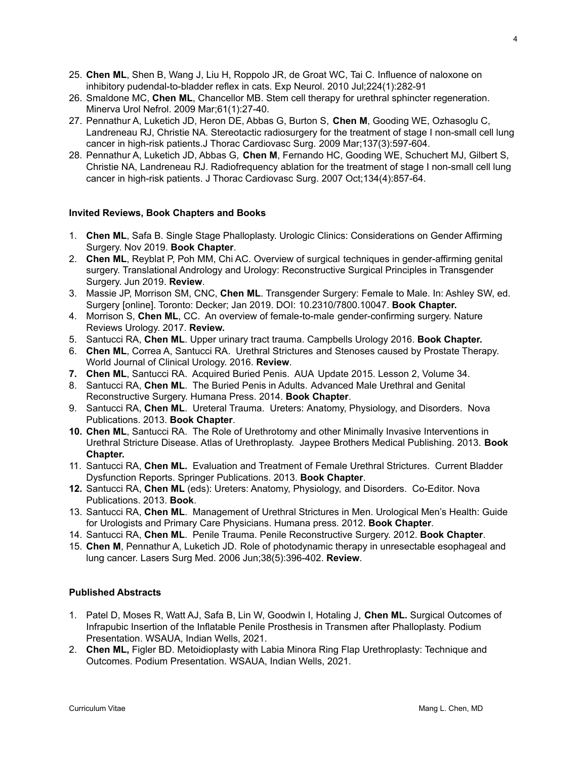- 25. **Chen ML**, Shen B, Wang J, Liu H, Roppolo JR, de Groat WC, Tai C. Influence of [naloxone](http://www.ncbi.nlm.nih.gov/pubmed/20382144) on inhibitory [pudendal-to-bladder](http://www.ncbi.nlm.nih.gov/pubmed/20382144) reflex in cats. Exp Neurol. 2010 Jul;224(1):282-91
- 26. [Smaldone](http://www.ncbi.nlm.nih.gov/pubmed?term=Smaldone%20MC%5BAuthor%5D&cauthor=true&cauthor_uid=19002101) MC, **[Chen](http://www.ncbi.nlm.nih.gov/pubmed?term=Chen%20ML%5BAuthor%5D&cauthor=true&cauthor_uid=19002101) ML**, [Chancellor](http://www.ncbi.nlm.nih.gov/pubmed?term=Chancellor%20MB%5BAuthor%5D&cauthor=true&cauthor_uid=19002101) MB. Stem cell therapy for urethral sphincter regeneration. [Minerva](http://www.ncbi.nlm.nih.gov/pubmed/?term=4.%09Smaldone+MC%2C+Chen+ML%2C+Chancellor+MB.++Stem+Cell+Therapy+for+Urethral+Sphincter+Regeneration.++Minerva+Urol+Nephrol+2008.) Urol Nefrol. 2009 Mar;61(1):27-40.
- 27. Pennathur A, Luketich JD, Heron DE, Abbas G, Burton S, **Chen M**, Gooding WE, Ozhasoglu C, Landreneau RJ, Christie NA. Stereotactic [radiosurgery](http://www.ncbi.nlm.nih.gov/pubmed/19258073) for the treatment of stage I non-small cell lung cancer in high-risk [patients.J](http://www.ncbi.nlm.nih.gov/pubmed/19258073) Thorac Cardiovasc Surg. 2009 Mar;137(3):597-604.
- 28. Pennathur A, Luketich JD, Abbas G, **Chen M**, Fernando HC, Gooding WE, Schuchert MJ, Gilbert S, Christie NA, Landreneau RJ. [Radiofrequency](http://www.ncbi.nlm.nih.gov/pubmed/17903496) ablation for the treatment of stage I non-small cell lung cancer in high-risk [patients.](http://www.ncbi.nlm.nih.gov/pubmed/17903496) J Thorac Cardiovasc Surg. 2007 Oct;134(4):857-64.

#### **Invited Reviews, Book Chapters and Books**

- 1. **Chen ML**, Safa B. Single Stage Phalloplasty. Urologic Clinics: Considerations on Gender Affirming Surgery. Nov 2019. **Book Chapter**.
- 2. **Chen ML**, Reyblat P, Poh MM, Chi AC. Overview of surgical techniques in gender-affirming genital surgery. Translational Andrology and Urology: Reconstructive Surgical Principles in Transgender Surgery. Jun 2019. **Review**.
- 3. Massie JP, Morrison SM, CNC, **Chen ML**. Transgender Surgery: Female to Male. In: Ashley SW, ed. Surgery [online]. Toronto: Decker; Jan 2019. DOI: 10.2310/7800.10047. **Book Chapter.**
- 4. Morrison S, **Chen ML**, CC. An overview of female-to-male gender-confirming surgery. Nature Reviews Urology. 2017. **Review.**
- 5. Santucci RA, **Chen ML**. Upper urinary tract trauma. Campbells Urology 2016. **Book Chapter.**
- 6. **Chen ML**, Correa A, Santucci RA. Urethral Strictures and Stenoses caused by Prostate Therapy. World Journal of Clinical Urology. 2016. **Review**.
- **7. Chen ML**, Santucci RA. Acquired Buried Penis. AUA Update 2015. Lesson 2, Volume 34.
- 8. Santucci RA, **Chen ML**. The Buried Penis in Adults. Advanced Male Urethral and Genital Reconstructive Surgery. Humana Press. 2014. **Book Chapter**.
- 9. Santucci RA, **Chen ML**. Ureteral Trauma. Ureters: Anatomy, Physiology, and Disorders. Nova Publications. 2013. **Book Chapter**.
- **10. Chen ML**, Santucci RA. The Role of Urethrotomy and other Minimally Invasive Interventions in Urethral Stricture Disease. Atlas of Urethroplasty. Jaypee Brothers Medical Publishing. 2013. **Book Chapter.**
- 11. Santucci RA, **Chen ML.** Evaluation and Treatment of Female Urethral Strictures. Current Bladder Dysfunction Reports. Springer Publications. 2013. **Book Chapter**.
- **12.** Santucci RA, **Chen ML** (eds): Ureters: Anatomy, Physiology, and Disorders. Co-Editor. Nova Publications. 2013. **Book**.
- 13. Santucci RA, **Chen ML**. Management of Urethral Strictures in Men. Urological Men's Health: Guide for Urologists and Primary Care Physicians. Humana press. 2012. **Book Chapter**.
- 14. Santucci RA, **Chen ML**. Penile Trauma. Penile Reconstructive Surgery. 2012. **Book Chapter**.
- 15. **Chen M**, Pennathur A, Luketich JD. Role of [photodynamic](http://www.ncbi.nlm.nih.gov/pubmed/16788924) therapy in unresectable esophageal and lung [cancer.](http://www.ncbi.nlm.nih.gov/pubmed/16788924) Lasers Surg Med. 2006 Jun;38(5):396-402. **Review**.

# **Published Abstracts**

- 1. Patel D, Moses R, Watt AJ, Safa B, Lin W, Goodwin I, Hotaling J, **Chen ML.** Surgical Outcomes of Infrapubic Insertion of the Inflatable Penile Prosthesis in Transmen after Phalloplasty. Podium Presentation. WSAUA, Indian Wells, 2021.
- 2. **Chen ML,** Figler BD. Metoidioplasty with Labia Minora Ring Flap Urethroplasty: Technique and Outcomes. Podium Presentation. WSAUA, Indian Wells, 2021.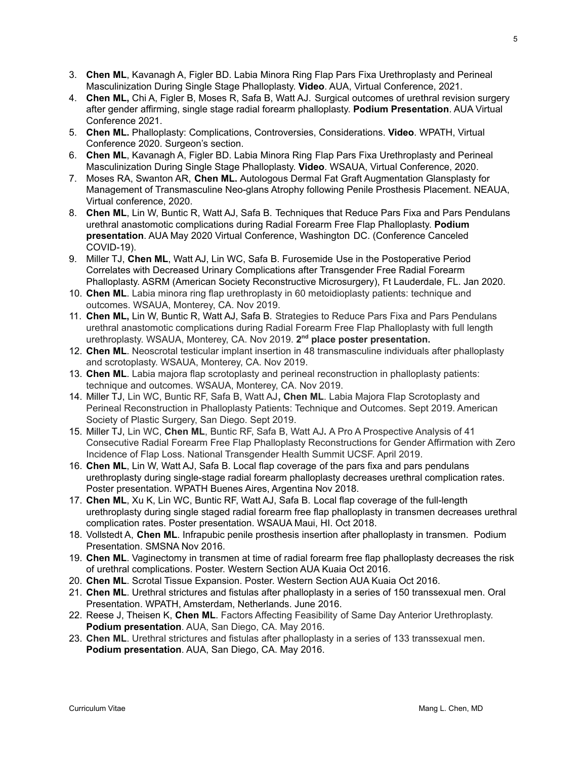- 3. **Chen ML**, Kavanagh A, Figler BD. Labia Minora Ring Flap Pars Fixa Urethroplasty and Perineal Masculinization During Single Stage Phalloplasty. **Video**. AUA, Virtual Conference, 2021.
- 4. **Chen ML,** Chi A, Figler B, Moses R, Safa B, Watt AJ. Surgical outcomes of urethral revision surgery after gender affirming, single stage radial forearm phalloplasty. **Podium Presentation**. AUA Virtual Conference 2021.
- 5. **Chen ML.** Phalloplasty: Complications, Controversies, Considerations. **Video**. WPATH, Virtual Conference 2020. Surgeon's section.
- 6. **Chen ML**, Kavanagh A, Figler BD. Labia Minora Ring Flap Pars Fixa Urethroplasty and Perineal Masculinization During Single Stage Phalloplasty. **Video**. WSAUA, Virtual Conference, 2020.
- 7. Moses RA, Swanton AR, **Chen ML.** Autologous Dermal Fat Graft Augmentation Glansplasty for Management of Transmasculine Neo-glans Atrophy following Penile Prosthesis Placement. NEAUA, Virtual conference, 2020.
- 8. **Chen ML**, Lin W, Buntic R, Watt AJ, Safa B. Techniques that Reduce Pars Fixa and Pars Pendulans urethral anastomotic complications during Radial Forearm Free Flap Phalloplasty. **Podium presentation**. AUA May 2020 Virtual Conference, Washington DC. (Conference Canceled COVID-19).
- 9. Miller TJ, **Chen ML**, Watt AJ, Lin WC, Safa B. Furosemide Use in the Postoperative Period Correlates with Decreased Urinary Complications after Transgender Free Radial Forearm Phalloplasty. ASRM (American Society Reconstructive Microsurgery), Ft Lauderdale, FL. Jan 2020.
- 10. **Chen ML**. Labia minora ring flap urethroplasty in 60 metoidioplasty patients: technique and outcomes. WSAUA, Monterey, CA. Nov 2019.
- 11. **Chen ML,** Lin W, Buntic R, Watt AJ, Safa B. Strategies to Reduce Pars Fixa and Pars Pendulans urethral anastomotic complications during Radial Forearm Free Flap Phalloplasty with full length urethroplasty. WSAUA, Monterey, CA. Nov 2019. 2<sup>nd</sup> place poster presentation.
- 12. **Chen ML**. Neoscrotal testicular implant insertion in 48 transmasculine individuals after phalloplasty and scrotoplasty. WSAUA, Monterey, CA. Nov 2019.
- 13. **Chen ML**. Labia majora flap scrotoplasty and perineal reconstruction in phalloplasty patients: technique and outcomes. WSAUA, Monterey, CA. Nov 2019.
- 14. Miller TJ, Lin WC, Buntic RF, Safa B, Watt AJ**, Chen ML**. Labia Majora Flap Scrotoplasty and Perineal Reconstruction in Phalloplasty Patients: Technique and Outcomes. Sept 2019. American Society of Plastic Surgery, San Diego. Sept 2019.
- 15. Miller TJ, Lin WC, **Chen ML**, Buntic RF, Safa B, Watt AJ**.** A Pro A Prospective Analysis of 41 Consecutive Radial Forearm Free Flap Phalloplasty Reconstructions for Gender Affirmation with Zero Incidence of Flap Loss. National Transgender Health Summit UCSF. April 2019.
- 16. **Chen ML**, Lin W, Watt AJ, Safa B. Local flap coverage of the pars fixa and pars pendulans urethroplasty during single-stage radial forearm phalloplasty decreases urethral complication rates. Poster presentation. WPATH Buenes Aires, Argentina Nov 2018.
- 17. **Chen ML**, Xu K, Lin WC, Buntic RF, Watt AJ, Safa B. Local flap coverage of the full-length urethroplasty during single staged radial forearm free flap phalloplasty in transmen decreases urethral complication rates. Poster presentation. WSAUA Maui, HI. Oct 2018.
- 18. Vollstedt A, **Chen ML**. Infrapubic penile prosthesis insertion after phalloplasty in transmen. Podium Presentation. SMSNA Nov 2016.
- 19. **Chen ML**. Vaginectomy in transmen at time of radial forearm free flap phalloplasty decreases the risk of urethral complications. Poster. Western Section AUA Kuaia Oct 2016.
- 20. **Chen ML**. Scrotal Tissue Expansion. Poster. Western Section AUA Kuaia Oct 2016.
- 21. **Chen ML**. Urethral strictures and fistulas after phalloplasty in a series of 150 transsexual men. Oral Presentation. WPATH, Amsterdam, Netherlands. June 2016.
- 22. Reese J, Theisen K, **Chen ML**. Factors Affecting Feasibility of Same Day Anterior Urethroplasty. **Podium presentation**. AUA, San Diego, CA. May 2016.
- 23. **Chen ML**. Urethral strictures and fistulas after phalloplasty in a series of 133 transsexual men. **Podium presentation**. AUA, San Diego, CA. May 2016.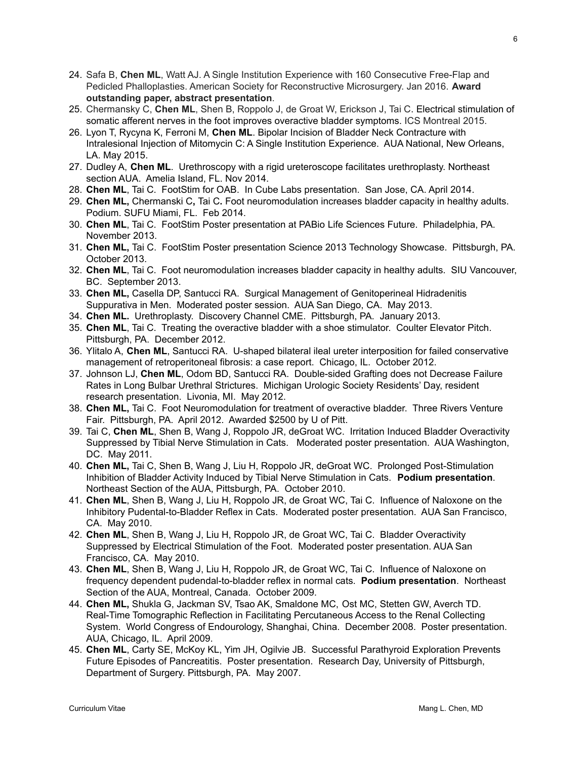- 24. Safa B, **Chen ML**, Watt AJ. A Single Institution Experience with 160 Consecutive Free-Flap and Pedicled Phalloplasties. American Society for Reconstructive Microsurgery. Jan 2016. **Award outstanding paper, abstract presentation**.
- 25. Chermansky C, **Chen ML**, Shen B, Roppolo J, de Groat W, Erickson J, Tai C. Electrical stimulation of somatic afferent nerves in the foot improves overactive bladder symptoms. ICS Montreal 2015.
- 26. Lyon T, Rycyna K, Ferroni M, **Chen ML**. Bipolar Incision of Bladder Neck Contracture with Intralesional Injection of Mitomycin C: A Single Institution Experience. AUA National, New Orleans, LA. May 2015.
- 27. Dudley A, **Chen ML**. Urethroscopy with a rigid ureteroscope facilitates urethroplasty. Northeast section AUA. Amelia Island, FL. Nov 2014.
- 28. **Chen ML**, Tai C. FootStim for OAB. In Cube Labs presentation. San Jose, CA. April 2014.
- 29. **Chen ML,** Chermanski C**,** Tai C**.** Foot neuromodulation increases bladder capacity in healthy adults. Podium. SUFU Miami, FL. Feb 2014.
- 30. **Chen ML**, Tai C. FootStim Poster presentation at PABio Life Sciences Future. Philadelphia, PA. November 2013.
- 31. **Chen ML,** Tai C. FootStim Poster presentation Science 2013 Technology Showcase. Pittsburgh, PA. October 2013.
- 32. **Chen ML**, Tai C. Foot neuromodulation increases bladder capacity in healthy adults. SIU Vancouver, BC. September 2013.
- 33. **Chen ML,** Casella DP, Santucci RA. Surgical Management of Genitoperineal Hidradenitis Suppurativa in Men. Moderated poster session. AUA San Diego, CA. May 2013.
- 34. **Chen ML.** Urethroplasty. Discovery Channel CME. Pittsburgh, PA. January 2013.
- 35. **Chen ML**, Tai C. Treating the overactive bladder with a shoe stimulator. Coulter Elevator Pitch. Pittsburgh, PA. December 2012.
- 36. Ylitalo A, **Chen ML**, Santucci RA. U-shaped bilateral ileal ureter interposition for failed conservative management of retroperitoneal fibrosis: a case report. Chicago, IL. October 2012.
- 37. Johnson LJ, **Chen ML**, Odom BD, Santucci RA. Double-sided Grafting does not Decrease Failure Rates in Long Bulbar Urethral Strictures. Michigan Urologic Society Residents' Day, resident research presentation. Livonia, MI. May 2012.
- 38. **Chen ML,** Tai C. Foot Neuromodulation for treatment of overactive bladder. Three Rivers Venture Fair. Pittsburgh, PA. April 2012. Awarded \$2500 by U of Pitt.
- 39. Tai C, **Chen ML**, Shen B, Wang J, Roppolo JR, deGroat WC. Irritation Induced Bladder Overactivity Suppressed by Tibial Nerve Stimulation in Cats. Moderated poster presentation. AUA Washington, DC. May 2011.
- 40. **Chen ML,** Tai C, Shen B, Wang J, Liu H, Roppolo JR, deGroat WC. Prolonged Post-Stimulation Inhibition of Bladder Activity Induced by Tibial Nerve Stimulation in Cats. **Podium presentation**. Northeast Section of the AUA, Pittsburgh, PA. October 2010.
- 41. **Chen ML**, Shen B, Wang J, Liu H, Roppolo JR, de Groat WC, Tai C. Influence of Naloxone on the Inhibitory Pudental-to-Bladder Reflex in Cats. Moderated poster presentation. AUA San Francisco, CA. May 2010.
- 42. **Chen ML**, Shen B, Wang J, Liu H, Roppolo JR, de Groat WC, Tai C. Bladder Overactivity Suppressed by Electrical Stimulation of the Foot. Moderated poster presentation. AUA San Francisco, CA. May 2010.
- 43. **Chen ML**, Shen B, Wang J, Liu H, Roppolo JR, de Groat WC, Tai C. Influence of Naloxone on frequency dependent pudendal-to-bladder reflex in normal cats. **Podium presentation**. Northeast Section of the AUA, Montreal, Canada. October 2009.
- 44. **Chen ML,** Shukla G, Jackman SV, Tsao AK, Smaldone MC, Ost MC, Stetten GW, Averch TD. Real-Time Tomographic Reflection in Facilitating Percutaneous Access to the Renal Collecting System. World Congress of Endourology, Shanghai, China. December 2008. Poster presentation. AUA, Chicago, IL. April 2009.
- 45. **Chen ML**, Carty SE, McKoy KL, Yim JH, Ogilvie JB. Successful Parathyroid Exploration Prevents Future Episodes of Pancreatitis. Poster presentation. Research Day, University of Pittsburgh, Department of Surgery. Pittsburgh, PA. May 2007.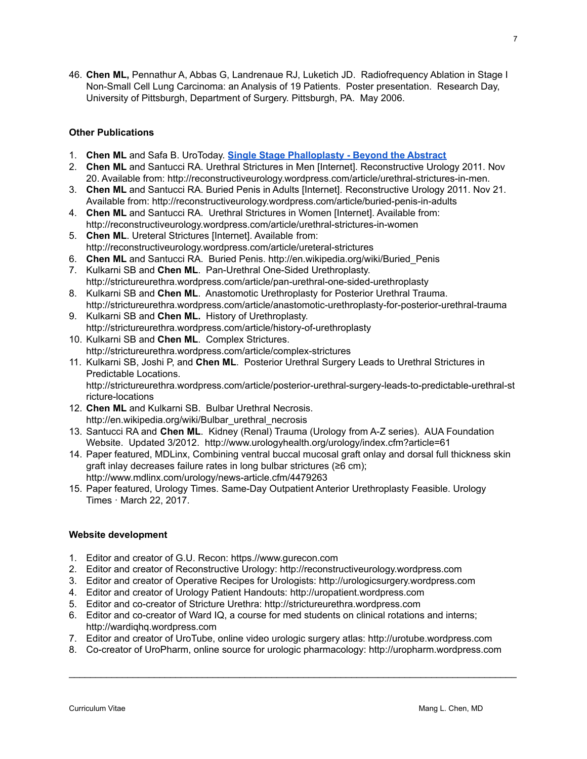46. **Chen ML,** Pennathur A, Abbas G, Landrenaue RJ, Luketich JD. Radiofrequency Ablation in Stage I Non-Small Cell Lung Carcinoma: an Analysis of 19 Patients. Poster presentation. Research Day, University of Pittsburgh, Department of Surgery. Pittsburgh, PA. May 2006.

# **Other Publications**

- 1. **Chen ML** and Safa B. UroToday. **Single Stage [Phalloplasty](https://www.urotoday.com/recent-abstracts/pelvic-health-reconstruction/gu-trauma-reconstruction/117898-single-stage-phalloplasty-beyond-the-abstract.html) - Beyond the Abstract**
- 2. **Chen ML** and Santucci RA. Urethral Strictures in Men [Internet]. Reconstructive Urology 2011. Nov 20. Available from: http://reconstructiveurology.wordpress.com/article/urethral-strictures-in-men.
- 3. **Chen ML** and Santucci RA. Buried Penis in Adults [Internet]. Reconstructive Urology 2011. Nov 21. Available from: http://reconstructiveurology.wordpress.com/article/buried-penis-in-adults
- 4. **Chen ML** and Santucci RA. Urethral Strictures in Women [Internet]. Available from: http://reconstructiveurology.wordpress.com/article/urethral-strictures-in-women
- 5. **Chen ML**. Ureteral Strictures [Internet]. Available from[:](http://reconstructiveurology.wordpress.com/article/ureteral-strictures/) http://reconstructiveurology.wordpress.com/article/ureteral-strictures
- 6. **Chen ML** and Santucci RA. Buried Penis. http://en.wikipedia.org/wiki/Buried\_Penis
- 7. Kulkarni SB and **Chen ML**. Pan-Urethral One-Sided Urethroplasty. http://strictureurethra.wordpress.com/article/pan-urethral-one-sided-urethroplasty
- 8. Kulkarni SB and **Chen ML**. Anastomotic Urethroplasty for Posterior Urethral Trauma. http://strictureurethra.wordpress.com/article/anastomotic-urethroplasty-for-posterior-urethral-trauma
- 9. Kulkarni SB and **Chen ML.** History of Urethroplasty. http://strictureurethra.wordpress.com/article/history-of-urethroplasty
- 10. Kulkarni SB and **Chen ML**. Complex Strictures. http://strictureurethra.wordpress.com/article/complex-strictures
- 11. Kulkarni SB, Joshi P, and **Chen ML**. Posterior Urethral Surgery Leads to Urethral Strictures in Predictable Locations. http://strictureurethra.wordpress.com/article/posterior-urethral-surgery-leads-to-predictable-urethral-st
- ricture-locations 12. **Chen ML** and Kulkarni SB. Bulbar Urethral Necrosis.
	- http://en.wikipedia.org/wiki/Bulbar\_urethral\_necrosis
- 13. Santucci RA and **Chen ML**. Kidney (Renal) Trauma (Urology from A-Z series). AUA Foundation Website. Updated 3/2012. http://www.urologyhealth.org/urology/index.cfm?article=61
- 14. Paper featured, MDLinx, Combining ventral buccal mucosal graft onlay and dorsal full thickness skin graft inlay decreases failure rates in long bulbar strictures (≥6 cm); http://www.mdlinx.com/urology/news-article.cfm/4479263
- 15. Paper featured, Urology Times. Same-Day Outpatient Anterior Urethroplasty Feasible. Urology Times · March 22, 2017.

#### **Website development**

- 1. Editor and creator of G.U. Recon: https.//www.gurecon.com
- 2. Editor and creator of Reconstructive Urology: http://reconstructiveurology.wordpress.com
- 3. Editor and creator of Operative Recipes for Urologists: http://urologicsurgery.wordpress.com
- 4. Editor and creator of Urology Patient Handouts: http://uropatient.wordpress.com
- 5. Editor and co-creator of Stricture Urethra: http://strictureurethra.wordpress.com
- 6. Editor and co-creator of Ward IQ, a course for med students on clinical rotations and interns; http://wardiqhq.wordpress.com
- 7. Editor and creator of UroTube, online video urologic surgery atlas: http://urotube.wordpress.com
- 8. Co-creator of UroPharm, online source for urologic pharmacology: http://uropharm.wordpress.com

 $\mathcal{L}_\mathcal{L}$  , and the contribution of the contribution of the contribution of the contribution of the contribution of the contribution of the contribution of the contribution of the contribution of the contribution of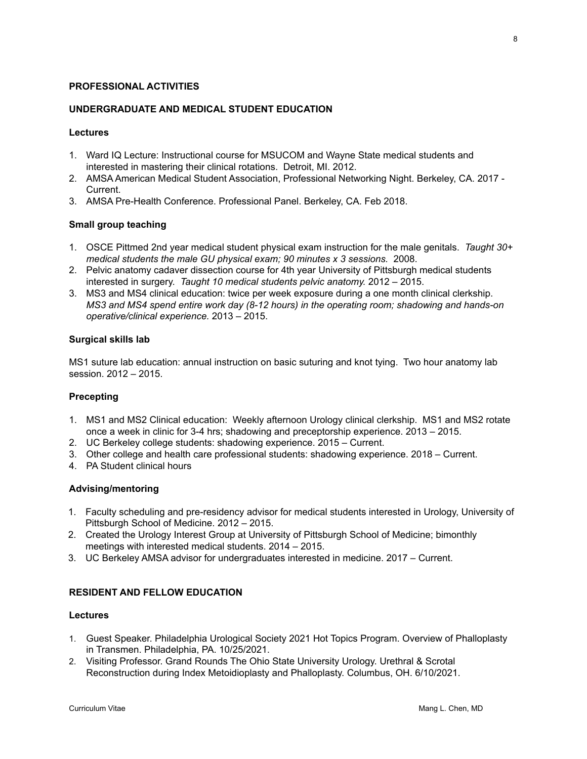#### **PROFESSIONAL ACTIVITIES**

### **UNDERGRADUATE AND MEDICAL STUDENT EDUCATION**

### **Lectures**

- 1. Ward IQ Lecture: Instructional course for MSUCOM and Wayne State medical students and interested in mastering their clinical rotations. Detroit, MI. 2012.
- 2. AMSA American Medical Student Association, Professional Networking Night. Berkeley, CA. 2017 Current.
- 3. AMSA Pre-Health Conference. Professional Panel. Berkeley, CA. Feb 2018.

### **Small group teaching**

- 1. OSCE Pittmed 2nd year medical student physical exam instruction for the male genitals. *Taught 30+ medical students the male GU physical exam; 90 minutes x 3 sessions.* 2008.
- 2. Pelvic anatomy cadaver dissection course for 4th year University of Pittsburgh medical students interested in surgery. *Taught 10 medical students pelvic anatomy.* 2012 – 2015.
- 3. MS3 and MS4 clinical education: twice per week exposure during a one month clinical clerkship. *MS3 and MS4 spend entire work day (8-12 hours) in the operating room; shadowing and hands-on operative/clinical experience.* 2013 – 2015.

### **Surgical skills lab**

MS1 suture lab education: annual instruction on basic suturing and knot tying. Two hour anatomy lab session. 2012 – 2015.

#### **Precepting**

- 1. MS1 and MS2 Clinical education: Weekly afternoon Urology clinical clerkship. MS1 and MS2 rotate once a week in clinic for 3-4 hrs; shadowing and preceptorship experience. 2013 – 2015.
- 2. UC Berkeley college students: shadowing experience. 2015 Current.
- 3. Other college and health care professional students: shadowing experience. 2018 Current.
- 4. PA Student clinical hours

#### **Advising/mentoring**

- 1. Faculty scheduling and pre-residency advisor for medical students interested in Urology, University of Pittsburgh School of Medicine. 2012 – 2015.
- 2. Created the Urology Interest Group at University of Pittsburgh School of Medicine; bimonthly meetings with interested medical students. 2014 – 2015.
- 3. UC Berkeley AMSA advisor for undergraduates interested in medicine. 2017 Current.

# **RESIDENT AND FELLOW EDUCATION**

#### **Lectures**

- 1. Guest Speaker. Philadelphia Urological Society 2021 Hot Topics Program. Overview of Phalloplasty in Transmen. Philadelphia, PA. 10/25/2021.
- 2. Visiting Professor. Grand Rounds The Ohio State University Urology. Urethral & Scrotal Reconstruction during Index Metoidioplasty and Phalloplasty. Columbus, OH. 6/10/2021.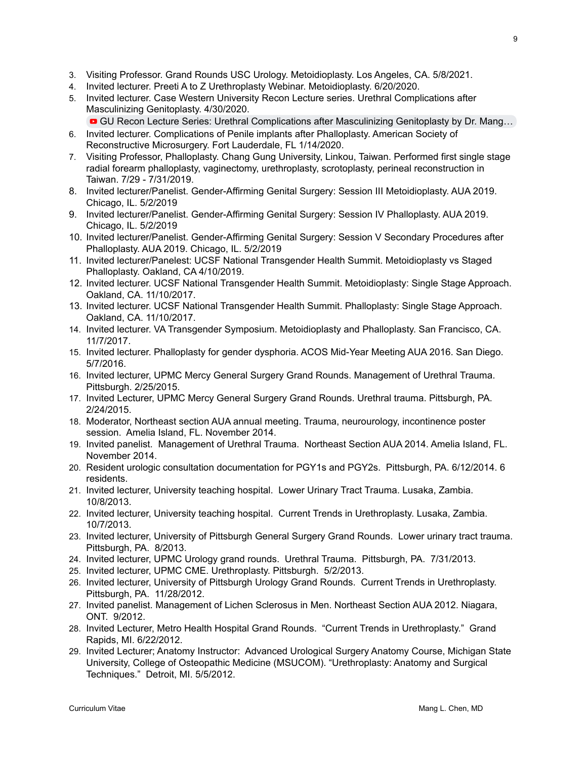- 3. Visiting Professor. Grand Rounds USC Urology. Metoidioplasty. Los Angeles, CA. 5/8/2021.
- 4. Invited lecturer. Preeti A to Z Urethroplasty Webinar. Metoidioplasty. 6/20/2020.
- 5. Invited lecturer. Case Western University Recon Lecture series. Urethral Complications after Masculinizing Genitoplasty. 4/30/2020.
	- GU Recon Lecture Series: Urethral [Complications](https://www.youtube.com/watch?v=vRKX3lCDI9g&t=147s) after Masculinizing Genitoplasty by Dr. Mang...
- 6. Invited lecturer. Complications of Penile implants after Phalloplasty. American Society of Reconstructive Microsurgery. Fort Lauderdale, FL 1/14/2020.
- 7. Visiting Professor, Phalloplasty. Chang Gung University, Linkou, Taiwan. Performed first single stage radial forearm phalloplasty, vaginectomy, urethroplasty, scrotoplasty, perineal reconstruction in Taiwan. 7/29 - 7/31/2019.
- 8. Invited lecturer/Panelist. Gender-Affirming Genital Surgery: Session III Metoidioplasty. AUA 2019. Chicago, IL. 5/2/2019
- 9. Invited lecturer/Panelist. Gender-Affirming Genital Surgery: Session IV Phalloplasty. AUA 2019. Chicago, IL. 5/2/2019
- 10. Invited lecturer/Panelist. Gender-Affirming Genital Surgery: Session V Secondary Procedures after Phalloplasty. AUA 2019. Chicago, IL. 5/2/2019
- 11. Invited lecturer/Panelest: UCSF National Transgender Health Summit. Metoidioplasty vs Staged Phalloplasty. Oakland, CA 4/10/2019.
- 12. Invited lecturer. UCSF National Transgender Health Summit. Metoidioplasty: Single Stage Approach. Oakland, CA. 11/10/2017.
- 13. Invited lecturer. UCSF National Transgender Health Summit. Phalloplasty: Single Stage Approach. Oakland, CA. 11/10/2017.
- 14. Invited lecturer. VA Transgender Symposium. Metoidioplasty and Phalloplasty. San Francisco, CA. 11/7/2017.
- 15. Invited lecturer. Phalloplasty for gender dysphoria. ACOS Mid-Year Meeting AUA 2016. San Diego. 5/7/2016.
- 16. Invited lecturer, UPMC Mercy General Surgery Grand Rounds. Management of Urethral Trauma. Pittsburgh. 2/25/2015.
- 17. Invited Lecturer, UPMC Mercy General Surgery Grand Rounds. Urethral trauma. Pittsburgh, PA. 2/24/2015.
- 18. Moderator, Northeast section AUA annual meeting. Trauma, neurourology, incontinence poster session. Amelia Island, FL. November 2014.
- 19. Invited panelist. Management of Urethral Trauma. Northeast Section AUA 2014. Amelia Island, FL. November 2014.
- 20. Resident urologic consultation documentation for PGY1s and PGY2s. Pittsburgh, PA. 6/12/2014. 6 residents.
- 21. Invited lecturer, University teaching hospital. Lower Urinary Tract Trauma. Lusaka, Zambia. 10/8/2013.
- 22. Invited lecturer, University teaching hospital. Current Trends in Urethroplasty. Lusaka, Zambia. 10/7/2013.
- 23. Invited lecturer, University of Pittsburgh General Surgery Grand Rounds. Lower urinary tract trauma. Pittsburgh, PA. 8/2013.
- 24. Invited lecturer, UPMC Urology grand rounds. Urethral Trauma. Pittsburgh, PA. 7/31/2013.
- 25. Invited lecturer, UPMC CME. Urethroplasty. Pittsburgh. 5/2/2013.
- 26. Invited lecturer, University of Pittsburgh Urology Grand Rounds. Current Trends in Urethroplasty. Pittsburgh, PA. 11/28/2012.
- 27. Invited panelist. Management of Lichen Sclerosus in Men. Northeast Section AUA 2012. Niagara, ONT. 9/2012.
- 28. Invited Lecturer, Metro Health Hospital Grand Rounds. "Current Trends in Urethroplasty." Grand Rapids, MI. 6/22/2012.
- 29. Invited Lecturer; Anatomy Instructor: Advanced Urological Surgery Anatomy Course, Michigan State University, College of Osteopathic Medicine (MSUCOM). "Urethroplasty: Anatomy and Surgical Techniques." Detroit, MI. 5/5/2012.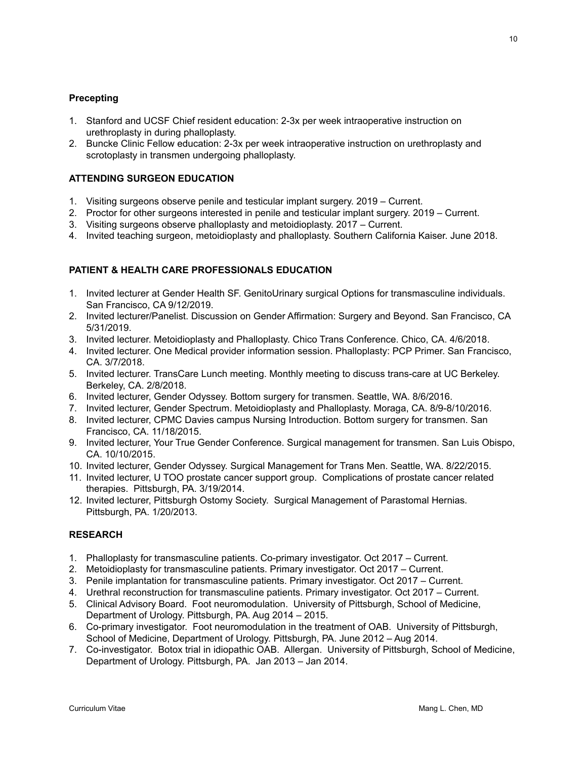# **Precepting**

- 1. Stanford and UCSF Chief resident education: 2-3x per week intraoperative instruction on urethroplasty in during phalloplasty.
- 2. Buncke Clinic Fellow education: 2-3x per week intraoperative instruction on urethroplasty and scrotoplasty in transmen undergoing phalloplasty.

# **ATTENDING SURGEON EDUCATION**

- 1. Visiting surgeons observe penile and testicular implant surgery. 2019 Current.
- 2. Proctor for other surgeons interested in penile and testicular implant surgery. 2019 Current.
- 3. Visiting surgeons observe phalloplasty and metoidioplasty. 2017 Current.
- 4. Invited teaching surgeon, metoidioplasty and phalloplasty. Southern California Kaiser. June 2018.

# **PATIENT & HEALTH CARE PROFESSIONALS EDUCATION**

- 1. Invited lecturer at Gender Health SF. GenitoUrinary surgical Options for transmasculine individuals. San Francisco, CA 9/12/2019.
- 2. Invited lecturer/Panelist. Discussion on Gender Affirmation: Surgery and Beyond. San Francisco, CA 5/31/2019.
- 3. Invited lecturer. Metoidioplasty and Phalloplasty. Chico Trans Conference. Chico, CA. 4/6/2018.
- 4. Invited lecturer. One Medical provider information session. Phalloplasty: PCP Primer. San Francisco, CA. 3/7/2018.
- 5. Invited lecturer. TransCare Lunch meeting. Monthly meeting to discuss trans-care at UC Berkeley. Berkeley, CA. 2/8/2018.
- 6. Invited lecturer, Gender Odyssey. Bottom surgery for transmen. Seattle, WA. 8/6/2016.
- 7. Invited lecturer, Gender Spectrum. Metoidioplasty and Phalloplasty. Moraga, CA. 8/9-8/10/2016.
- 8. Invited lecturer, CPMC Davies campus Nursing Introduction. Bottom surgery for transmen. San Francisco, CA. 11/18/2015.
- 9. Invited lecturer, Your True Gender Conference. Surgical management for transmen. San Luis Obispo, CA. 10/10/2015.
- 10. Invited lecturer, Gender Odyssey. Surgical Management for Trans Men. Seattle, WA. 8/22/2015.
- 11. Invited lecturer, U TOO prostate cancer support group. Complications of prostate cancer related therapies. Pittsburgh, PA. 3/19/2014.
- 12. Invited lecturer, Pittsburgh Ostomy Society. Surgical Management of Parastomal Hernias. Pittsburgh, PA. 1/20/2013.

#### **RESEARCH**

- 1. Phalloplasty for transmasculine patients. Co-primary investigator. Oct 2017 Current.
- 2. Metoidioplasty for transmasculine patients. Primary investigator. Oct 2017 Current.
- 3. Penile implantation for transmasculine patients. Primary investigator. Oct 2017 Current.
- 4. Urethral reconstruction for transmasculine patients. Primary investigator. Oct 2017 Current.
- 5. Clinical Advisory Board. Foot neuromodulation. University of Pittsburgh, School of Medicine, Department of Urology. Pittsburgh, PA. Aug 2014 – 2015.
- 6. Co-primary investigator. Foot neuromodulation in the treatment of OAB. University of Pittsburgh, School of Medicine, Department of Urology. Pittsburgh, PA. June 2012 – Aug 2014.
- 7. Co-investigator. Botox trial in idiopathic OAB. Allergan. University of Pittsburgh, School of Medicine, Department of Urology. Pittsburgh, PA. Jan 2013 – Jan 2014.